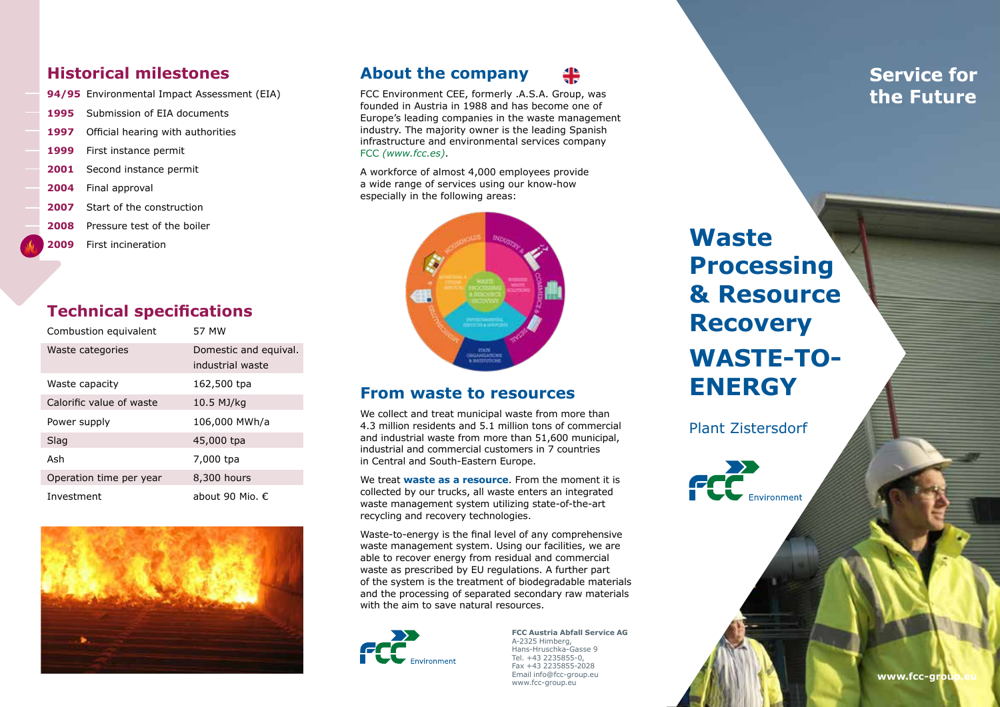#### **Historical milestones**

- **94/95** Environmental Impact Assessment (EIA)
- **1995** Submission of EIA documents
- **1997** Official hearing with authorities
- **1999** First instance permit
- **2001** Second instance permit
- **2004** Final approval
- **2007** Start of the construction
- **2008** Pressure test of the boiler
- **2009** First incineration

#### **Technical specifications**

| Combustion equivalent    | 57 MW                    |
|--------------------------|--------------------------|
| Waste categories         | Domestic and equival.    |
|                          | industrial waste         |
| Waste capacity           | 162,500 tpa              |
| Calorific value of waste | 10.5 MJ/kg               |
| Power supply             | 106,000 MWh/a            |
| Slag                     | 45,000 tpa               |
| Ash                      | 7,000 tpa                |
| Operation time per year  | 8,300 hours              |
| Investment               | about 90 Mio. $\epsilon$ |



#### **About the company**



A workforce of almost 4,000 employees provide a wide range of services using our know-how especially in the following areas:



#### **From waste to resources**

We collect and treat municipal waste from more than 4.3 million residents and 5.1 million tons of commercial and industrial waste from more than 51,600 municipal, industrial and commercial customers in 7 countries in Central and South-Eastern Europe.

We treat **waste as a resource**. From the moment it is collected by our trucks, all waste enters an integrated waste management system utilizing state-of-the-art recycling and recovery technologies.

Waste-to-energy is the final level of any comprehensive waste management system. Using our facilities, we are able to recover energy from residual and commercial waste as prescribed by EU regulations. A further part of the system is the treatment of biodegradable materials and the processing of separated secondary raw materials with the aim to save natural resources.



**FCC Austria Abfall Service AG** A-2325 Himberg, Hans-Hruschka-Gasse 9 Tel. +43 2235855-0, Fax +43 2235855-2028 Email info@fcc-group.eu www.fcc-group.eu

**Waste Processing & Resource Recovery WASTE-TO-ENERGY**

Plant Zistersdorf



**Service for** the Future